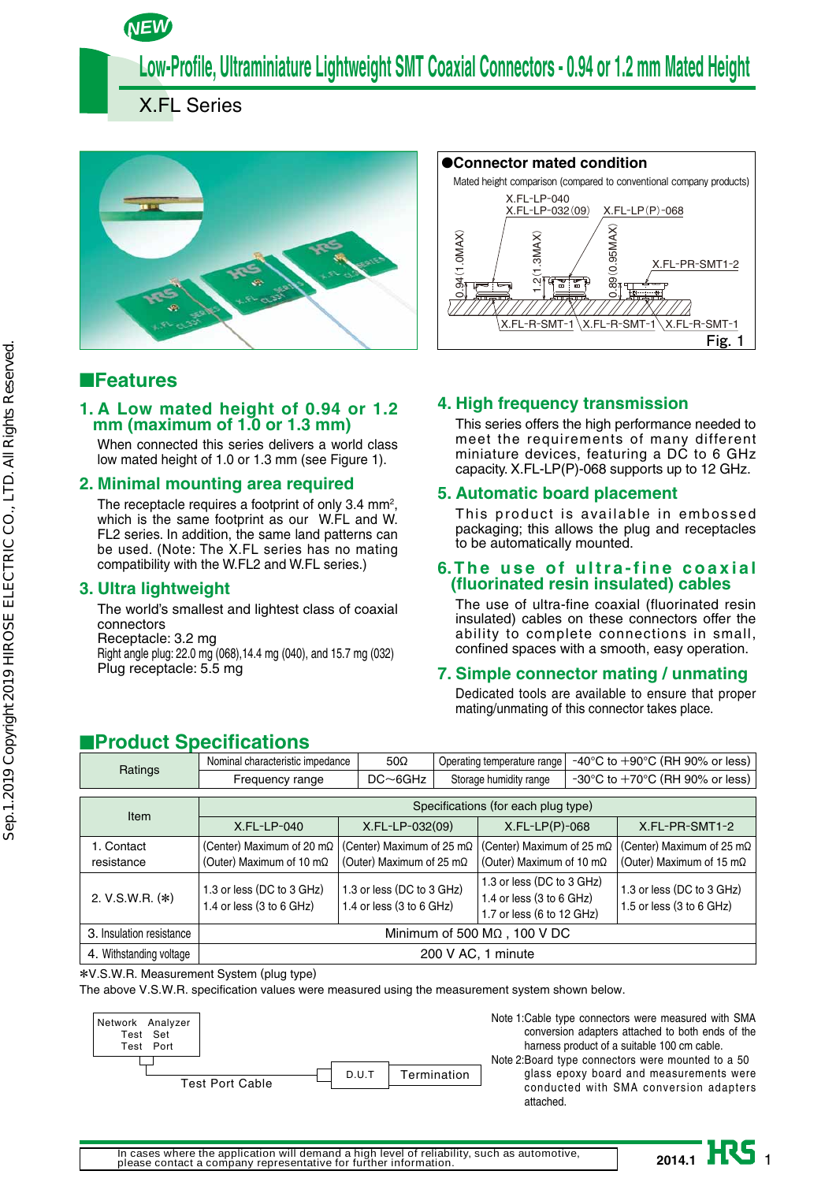*NEW*

**Low-Profile, Ultraminiature Lightweight SMT Coaxial Connectors - 0.94 or 1.2 mm Mated Height**

X.FL Series



# ■**Features**

## **1. A Low mated height of 0.94 or 1.2 mm (maximum of 1.0 or 1.3 mm)**

When connected this series delivers a world class low mated height of 1.0 or 1.3 mm (see Figure 1).

## **2. Minimal mounting area required**

The receptacle requires a footprint of only 3.4 mm<sup>2</sup>, which is the same footprint as our W.FL and W. FL2 series. In addition, the same land patterns can be used. (Note: The X.FL series has no mating compatibility with the W.FL2 and W.FL series.)

## **3. Ultra lightweight**

The world's smallest and lightest class of coaxial connectors Receptacle: 3.2 mg

Right angle plug: 22.0 mg (068),14.4 mg (040), and 15.7 mg (032) Plug receptacle: 5.5 mg



## **4. High frequency transmission**

This series offers the high performance needed to meet the requirements of many different miniature devices, featuring a DC to 6 GHz capacity. X.FL-LP(P)-068 supports up to 12 GHz.

## **5. Automatic board placement**

This product is available in embossed packaging; this allows the plug and receptacles to be automatically mounted.

#### **6. The use of ultra-fine coaxial (fluorinated resin insulated) cables**

The use of ultra-fine coaxial (fluorinated resin insulated) cables on these connectors offer the ability to complete connections in small, confined spaces with a smooth, easy operation.

## **7. Simple connector mating / unmating**

Dedicated tools are available to ensure that proper mating/unmating of this connector takes place.

# ■**Product Specifications**

|         | Nominal characteristic impedance | $50\Omega$     |                        | Operating temperature range $\mid$ -40°C to +90°C (RH 90% or less) |
|---------|----------------------------------|----------------|------------------------|--------------------------------------------------------------------|
| Ratings | Frequency range                  | $DC \sim 6GHz$ | Storage humidity range | $-30^{\circ}$ C to $+70^{\circ}$ C (RH 90% or less)                |
|         |                                  |                |                        |                                                                    |

| Item                     | Specifications (for each plug type)                           |                                                               |                                                                                      |                                                                       |  |
|--------------------------|---------------------------------------------------------------|---------------------------------------------------------------|--------------------------------------------------------------------------------------|-----------------------------------------------------------------------|--|
|                          | X.FL-LP-040                                                   | X.FL-LP-032(09)                                               | $X.FL-LP(P)-068$                                                                     | X.FL-PR-SMT1-2                                                        |  |
| 1. Contact<br>resistance | (Center) Maximum of 20 m $\Omega$<br>(Outer) Maximum of 10 mΩ | (Center) Maximum of 25 m $\Omega$<br>(Outer) Maximum of 25 mΩ | (Center) Maximum of 25 m $\Omega$<br>(Outer) Maximum of 10 m $\Omega$                | (Center) Maximum of 25 m $\Omega$<br>(Outer) Maximum of 15 m $\Omega$ |  |
| 2. V.S.W.R. (*)          | 1.3 or less (DC to 3 GHz)<br>1.4 or less (3 to 6 GHz)         | 1.3 or less (DC to 3 GHz)<br>1.4 or less $(3 to 6 GHz)$       | 1.3 or less (DC to 3 GHz)<br>1.4 or less $(3 to 6 GHz)$<br>1.7 or less (6 to 12 GHz) | 1.3 or less (DC to 3 GHz)<br>1.5 or less $(3 to 6 GHz)$               |  |
| 3. Insulation resistance | Minimum of 500 $M\Omega$ , 100 V DC                           |                                                               |                                                                                      |                                                                       |  |
| 4. Withstanding voltage  | 200 V AC, 1 minute                                            |                                                               |                                                                                      |                                                                       |  |

#### \*V.S.W.R. Measurement System (plug type)

The above V.S.W.R. specification values were measured using the measurement system shown below.



Note 1: Cable type connectors were measured with SMA conversion adapters attached to both ends of the harness product of a suitable 100 cm cable.

Note 2: Board type connectors were mounted to a 50 glass epoxy board and measurements were conducted with SMA conversion adapters attached.

2014.1 **II** 1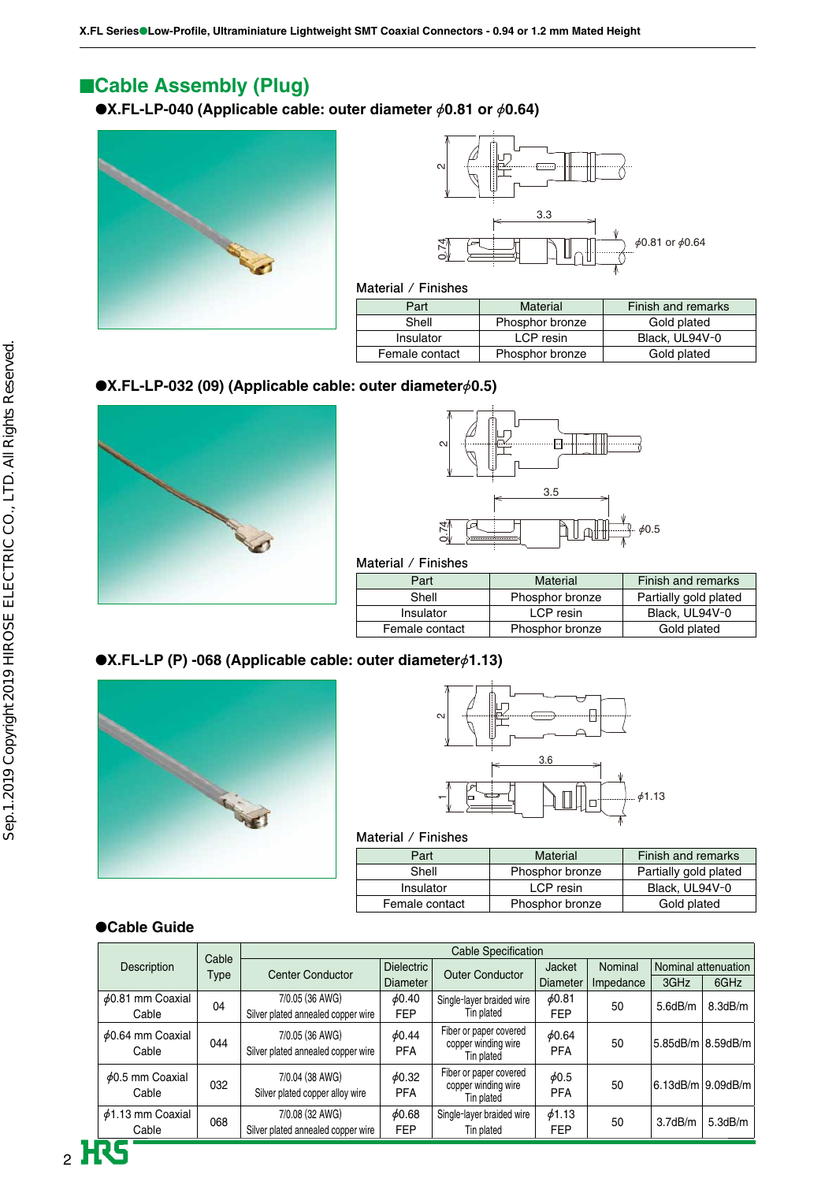# ■**Cable Assembly (Plug)**

●**X.FL-LP-040 (Applicable cable: outer diameter** Ø**0.81 or** Ø**0.64)**





#### **Material / Finishes**

| Part           | Material        | Finish and remarks |
|----------------|-----------------|--------------------|
| Shell          | Phosphor bronze | Gold plated        |
| Insulator      | LCP resin       | Black, UL94V-0     |
| Female contact | Phosphor bronze | Gold plated        |

## ●**X.FL-LP-032 (09) (Applicable cable: outer diameter**Ø**0.5)**





**Material / Finishes**

| Part           | Material        | Finish and remarks    |
|----------------|-----------------|-----------------------|
| Shell          | Phosphor bronze | Partially gold plated |
| Insulator      | LCP resin       | Black, UL94V-0        |
| Female contact | Phosphor bronze | Gold plated           |
|                |                 |                       |

## ●**X.FL-LP (P) -068 (Applicable cable: outer diameter** $\phi$ 1.13)





#### **Material / Finishes**

| Part           | Material        | Finish and remarks    |
|----------------|-----------------|-----------------------|
| Shell          | Phosphor bronze | Partially gold plated |
| Insulator      | LCP resin       | Black, UL94V-0        |
| Female contact | Phosphor bronze | Gold plated           |

## ●**Cable Guide**

|                                 | Cable | <b>Cable Specification</b>                            |                           |                                                             |                           |           |         |                     |
|---------------------------------|-------|-------------------------------------------------------|---------------------------|-------------------------------------------------------------|---------------------------|-----------|---------|---------------------|
| Description                     | Type  | <b>Center Conductor</b>                               | Dielectric                | <b>Outer Conductor</b>                                      | Jacket                    | Nominal   |         | Nominal attenuation |
|                                 |       |                                                       | <b>Diameter</b>           |                                                             | <b>Diameter</b>           | Impedance | 3GHz    | 6GHz                |
| $\phi$ 0.81 mm Coaxial<br>Cable | 04    | 7/0.05 (36 AWG)<br>Silver plated annealed copper wire | $\phi$ 0.40<br><b>FEP</b> | Single-layer braided wire<br>Tin plated                     | 60.81<br><b>FEP</b>       | 50        | 5.6dB/m | 8.3dB/m             |
| $\phi$ 0.64 mm Coaxial<br>Cable | 044   | 7/0.05 (36 AWG)<br>Silver plated annealed copper wire | 60.44<br><b>PFA</b>       | Fiber or paper covered<br>copper winding wire<br>Tin plated | $\phi$ 0.64<br><b>PFA</b> | 50        |         | 5.85dB/m 8.59dB/m   |
| $\phi$ 0.5 mm Coaxial<br>Cable  | 032   | 7/0.04 (38 AWG)<br>Silver plated copper alloy wire    | 60.32<br><b>PFA</b>       | Fiber or paper covered<br>copper winding wire<br>Tin plated | $\phi$ 0.5<br><b>PFA</b>  | 50        |         | 6.13dB/m 9.09dB/m   |
| $\phi$ 1.13 mm Coaxial<br>Cable | 068   | 7/0.08 (32 AWG)<br>Silver plated annealed copper wire | 60.68<br><b>FEP</b>       | Single-layer braided wire<br>Tin plated                     | 61.13<br><b>FEP</b>       | 50        | 3.7dB/m | 5.3dB/m             |
|                                 |       |                                                       |                           |                                                             |                           |           |         |                     |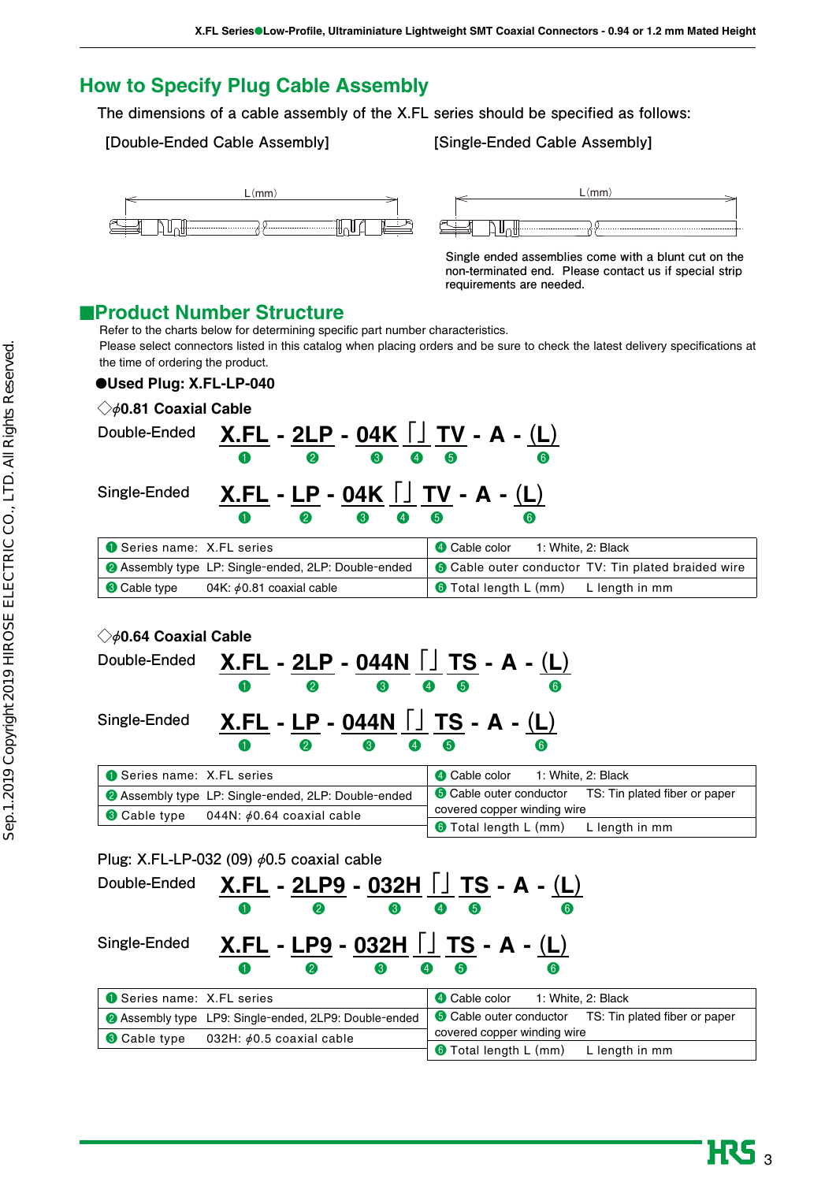# **How to Specify Plug Cable Assembly**

**The dimensions of a cable assembly of the X.FL series should be specified as follows:**

### **[Double-Ended Cable Assembly] [Single-Ended Cable Assembly]**



**Single ended assemblies come with a blunt cut on the non-terminated end. Please contact us if special strip requirements are needed.** 

# ■**Product Number Structure**

Refer to the charts below for determining specific part number characteristics. Please select connectors listed in this catalog when placing orders and be sure to check the latest delivery specifications at the time of ordering the product.

### ●**Used Plug: X.FL-LP-040**

| $\diamondsuit\phi$ 0.81 Coaxial Cable |                                                                                         |                                                            |
|---------------------------------------|-----------------------------------------------------------------------------------------|------------------------------------------------------------|
| Double-Ended                          | $X.FL - 2LP - 04K \cup TV - A - (L)$<br>$\boldsymbol{Q}$<br>$\bullet$<br>$\bullet$<br>0 | 6<br>$\bf{6}$                                              |
| Single-Ended                          | $X.FL - LP - 04K$ $\Box$ TV - A - (L)<br>$\boldsymbol{Q}$<br>3<br>O                     | 6<br>61                                                    |
| Series name: X.FL series              |                                                                                         | 4 Cable color<br>1: White, 2: Black                        |
|                                       | <b>2</b> Assembly type LP: Single-ended, 2LP: Double-ended                              | <b>O</b> Cable outer conductor TV: Tin plated braided wire |
| <b>8</b> Cable type                   | 04K: $\phi$ 0.81 coaxial cable                                                          | <b>O</b> Total length L (mm) L length in mm                |

## **◇**Ø**0.64 Coaxial Cable**

| Double-Ended             |   | $\boldsymbol{Q}$           | 3 |                          | $\boldsymbol{A}$<br>6                  | $X.FL - 2LP - 044N$ $\Box$ TS - A - (L)<br>6 |
|--------------------------|---|----------------------------|---|--------------------------|----------------------------------------|----------------------------------------------|
| Single-Ended             |   |                            |   |                          | $X.FL - LP - 044N$ $\Box$ TS - A - (L) |                                              |
|                          | O | $\boldsymbol{\mathcal{D}}$ | 3 | $\boldsymbol{\varDelta}$ | 6                                      | 6                                            |
| Series name: X.FL series |   |                            |   |                          |                                        | Cable color 1: White, 2:                     |

| <b>Constant Series Series</b> Series <b>Const</b>          | 4 Cable color<br>1: White. 2: Black                          |
|------------------------------------------------------------|--------------------------------------------------------------|
| <b>2</b> Assembly type LP: Single-ended, 2LP: Double-ended | <b>O</b> Cable outer conductor TS: Tin plated fiber or paper |
| <b>3</b> Cable type<br>044N: $\phi$ 0.64 coaxial cable     | covered copper winding wire                                  |
|                                                            | $\pm$ 6 Total length L (mm)<br>L length in mm                |

## **Plug: X.FL-LP-032 (09)** Ø**0.5 coaxial cable**

| Double-Ended             | $X.FL - 2LP9 - 032H$ $\Box$ TS - A - (L)                     |                                                              |
|--------------------------|--------------------------------------------------------------|--------------------------------------------------------------|
|                          | 2<br>3<br>O                                                  | 6<br>(6)                                                     |
| Single-Ended             | $X.FL - LP9 - 032H$ J TS - A - (L)                           |                                                              |
|                          | 2<br>3<br>O                                                  | 6<br>$\left( 6\right)$                                       |
| Series name: X.FL series |                                                              | 4 Cable color 1: White, 2: Black                             |
|                          | <b>2</b> Assembly type LP9: Single-ended, 2LP9: Double-ended | <b>6</b> Cable outer conductor TS: Tin plated fiber or paper |
| <b>8</b> Cable type      | 032H: $\phi$ 0.5 coaxial cable                               | covered copper winding wire                                  |
|                          |                                                              | <b>6</b> Total length L (mm)<br>L length in mm               |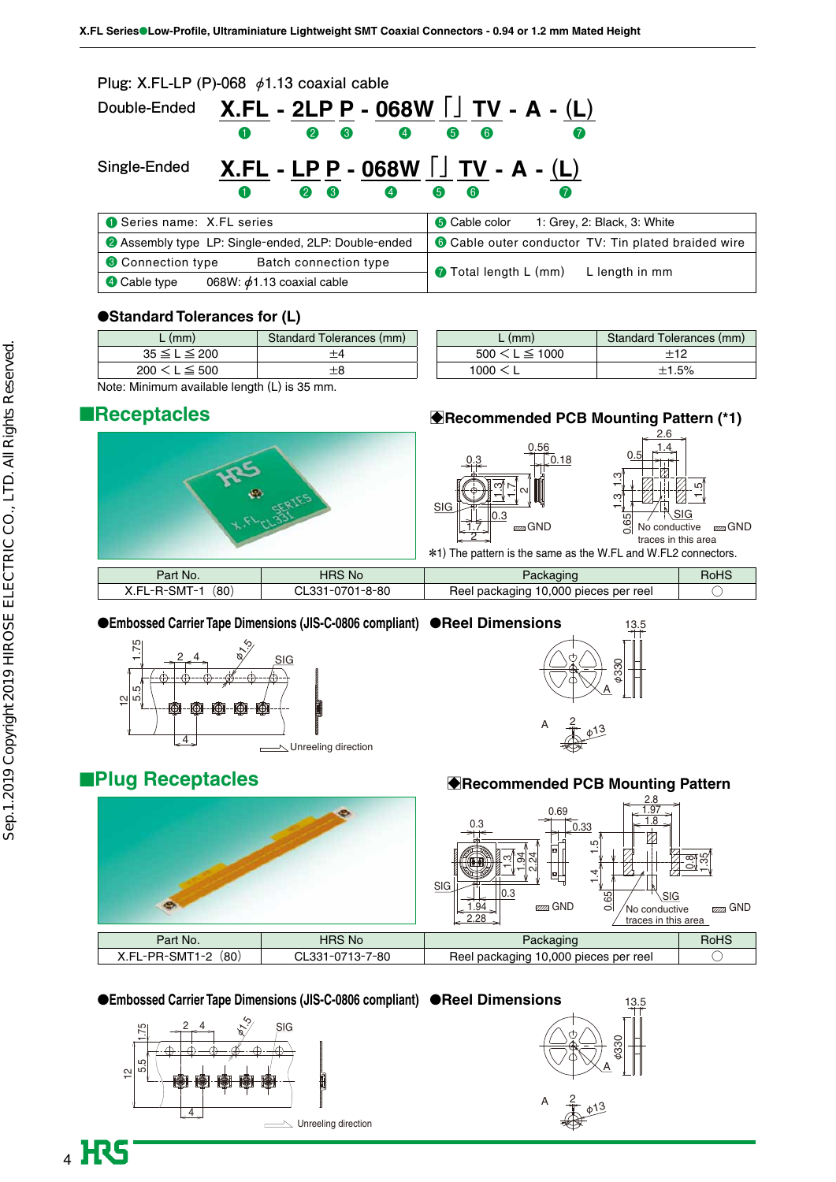|                          | Plug: X.FL-LP (P)-068 $\phi$ 1.13 coaxial cable                                         |                                                     |
|--------------------------|-----------------------------------------------------------------------------------------|-----------------------------------------------------|
| Double-Ended             | $X.FL - 2LP P - 068W$ $\Box$ TV - A - (L)<br>$\bullet$<br>$\bullet$<br>$\bullet$ 3<br>0 | 6<br>$\bullet$                                      |
| Single-Ended             | $X.FL - LP P - 068W$ $\Box TV - A - (L)$<br>$\bullet$<br>$\bullet$<br>8<br>0            | 6<br>$\left( 6 \right)$<br>(7)                      |
| Series name: X.FL series |                                                                                         | <b>6</b> Cable color<br>1: Grey, 2: Black, 3: White |
|                          | <b>2</b> Assembly type LP: Single-ended, 2LP: Double-ended                              | Cable outer conductor TV: Tin plated braided wire   |
| <b>6</b> Connection type | Batch connection type                                                                   | <b>Total length L (mm)</b><br>L length in mm        |
| <b>4</b> Cable type      | 068W: $\phi$ 1.13 coaxial cable                                                         |                                                     |

#### ●**Standard Tolerances for (L)**

| $L$ (mm)            | Standard Tolerances (mm) |
|---------------------|--------------------------|
| $35 \le L \le 200$  |                          |
| $200 \le L \le 500$ |                          |

| $L$ (mm)             | Standard Tolerances (mm) |
|----------------------|--------------------------|
| $500 \le L \le 1000$ | $+12$                    |
| 1000 < L             | ±1.5%                    |

Note: Minimum available length (L) is 35 mm.

## ■**Receptacles**



## ●**Embossed Carrier Tape Dimensions (JIS-C-0806 compliant)** ●**Reel Dimensions**





# ■**Plug Receptacles**



#### ●**Embossed Carrier Tape Dimensions (JIS-C-0806 compliant)** ●**Reel Dimensions**





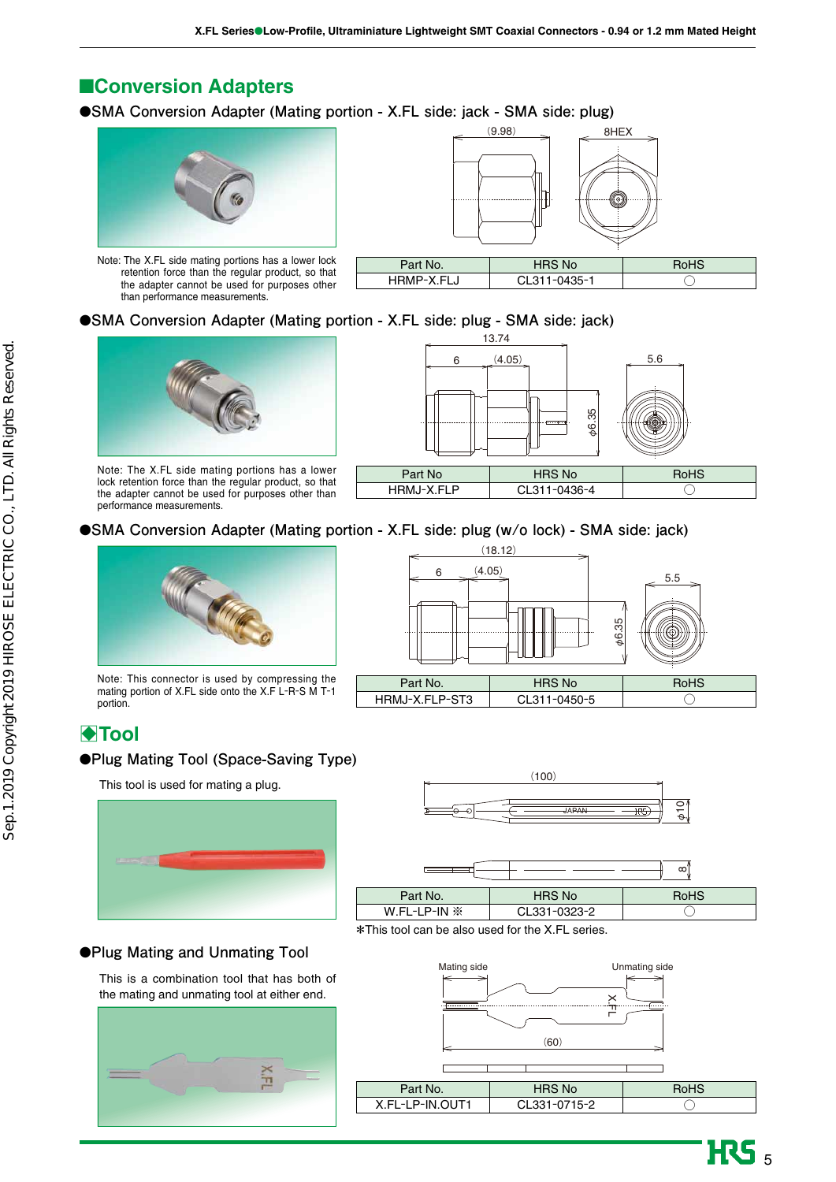# ■**Conversion Adapters**

●**SMA Conversion Adapter (Mating portion - X.FL side: jack - SMA side: plug)**



Note: The X.FL side mating portions has a lower lock retention force than the regular product, so that the adapter cannot be used for purposes other than performance measurements.



| 'art No.   | <b>HRS No</b> |  |
|------------|---------------|--|
| HRMP-X.FLJ | CL311-0435-1  |  |

### ●**SMA Conversion Adapter (Mating portion - X.FL side: plug - SMA side: jack)**



Note: The X.FL side mating portions has a lower lock retention force than the regular product, so that the adapter cannot be used for purposes other than performance measurements.



## ●**SMA Conversion Adapter (Mating portion - X.FL side: plug (w/o lock) - SMA side: jack)**



Note: This connector is used by compressing the mating portion of X.FL side onto the X.F L-R-S M T-1 portion.

# **ATool**

#### ●**Plug Mating Tool (Space-Saving Type)**

This tool is used for mating a plug.





 $\begin{array}{c} \hline \text{6} \\ \hline \text{6} \end{array}$  (4.05)

 $(18.12)$ 



#### ●**Plug Mating and Unmating Tool**

This is a combination tool that has both of the mating and unmating tool at either end.





**HRS**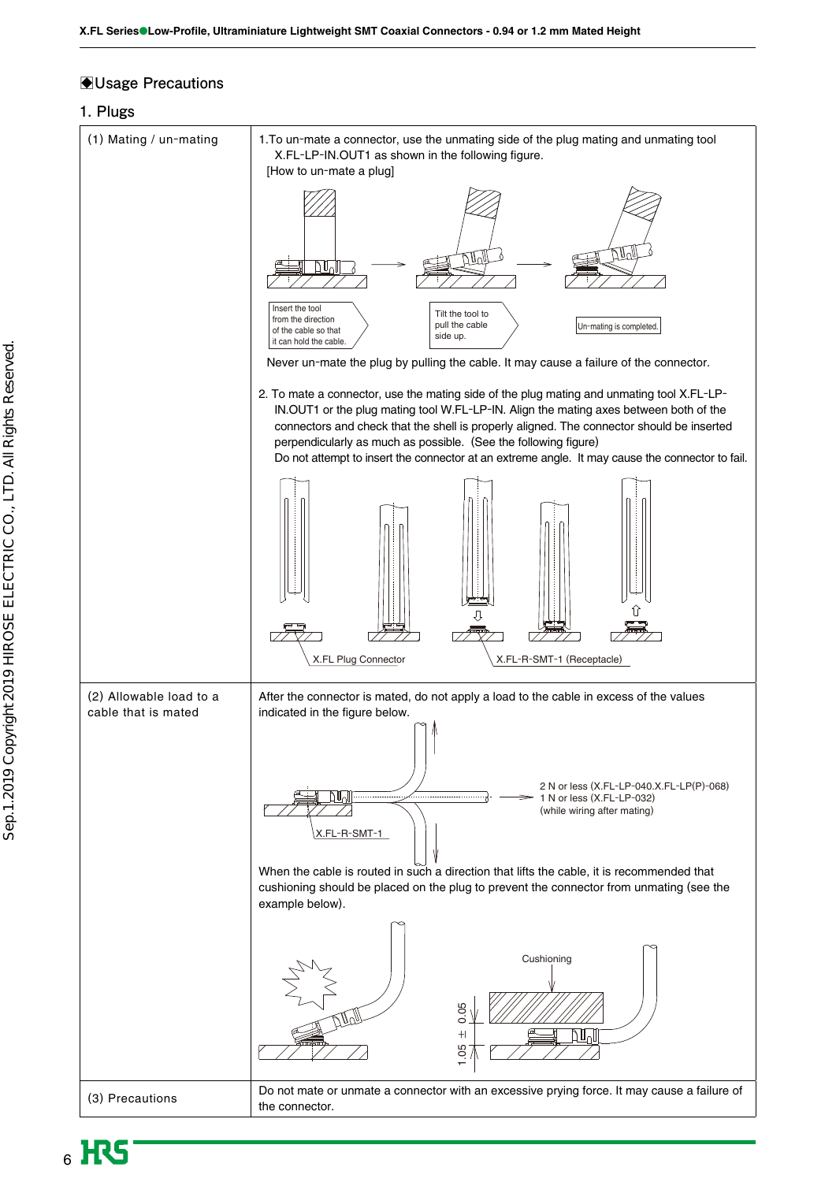## B**Usage Precautions**

## **1. Plugs**

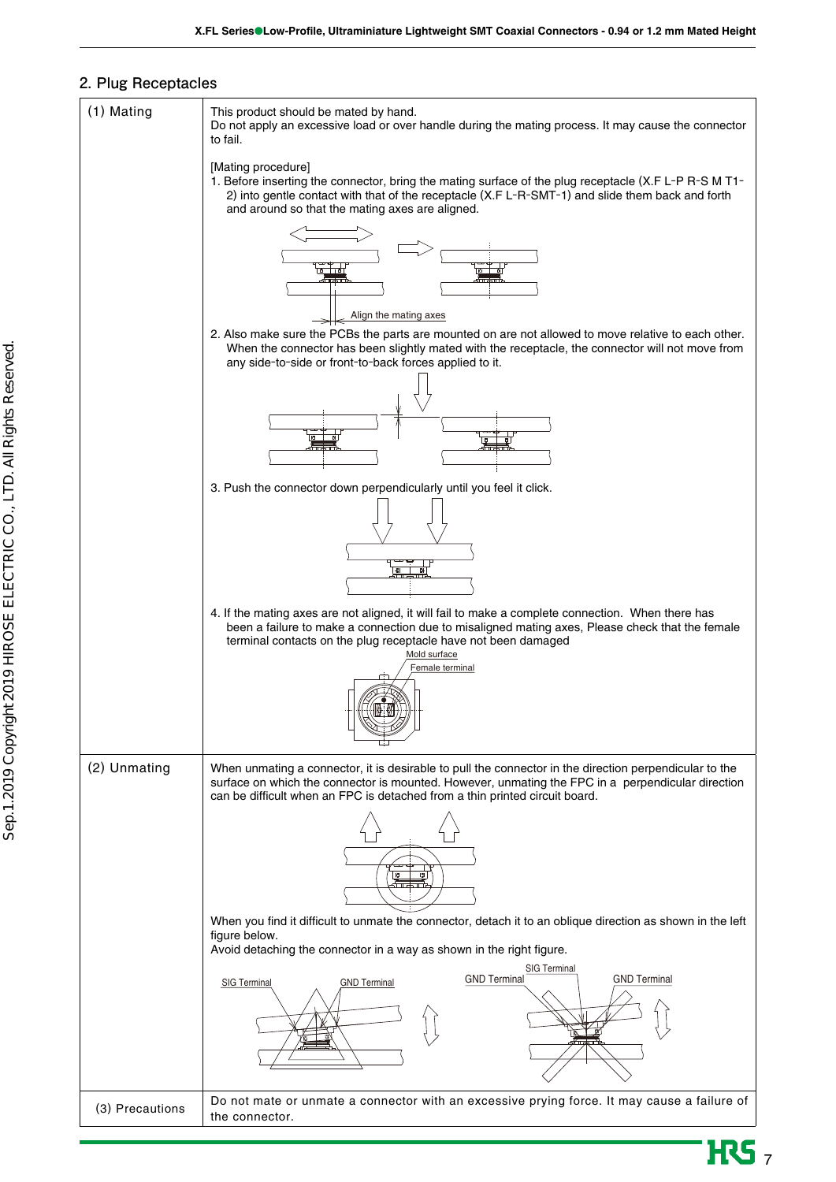### **2. Plug Receptacles**



**HRS**